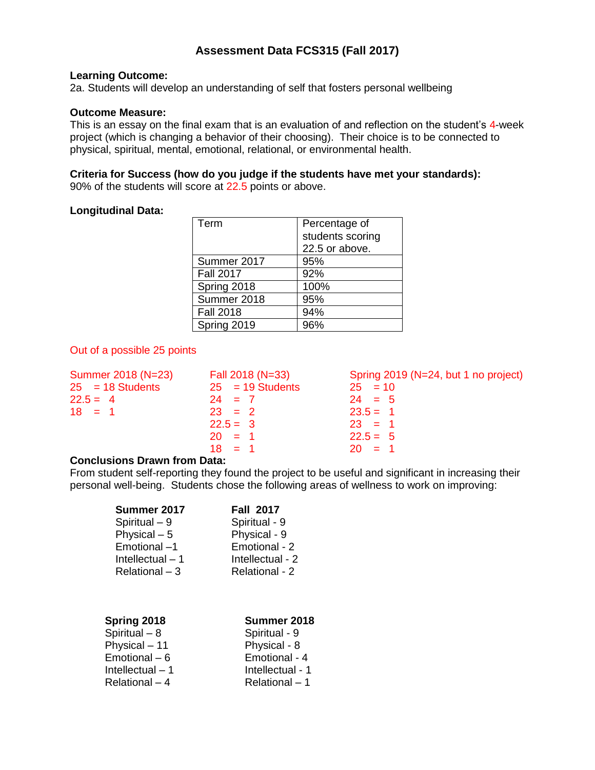# **Assessment Data FCS315 (Fall 2017)**

## **Learning Outcome:**

2a. Students will develop an understanding of self that fosters personal wellbeing

## **Outcome Measure:**

This is an essay on the final exam that is an evaluation of and reflection on the student's 4-week project (which is changing a behavior of their choosing). Their choice is to be connected to physical, spiritual, mental, emotional, relational, or environmental health.

#### **Criteria for Success (how do you judge if the students have met your standards):** 90% of the students will score at 22.5 points or above.

## **Longitudinal Data:**

| Term             | Percentage of    |
|------------------|------------------|
|                  | students scoring |
|                  | 22.5 or above.   |
| Summer 2017      | 95%              |
| <b>Fall 2017</b> | 92%              |
| Spring 2018      | 100%             |
| Summer 2018      | 95%              |
| <b>Fall 2018</b> | 94%              |
| Spring 2019      |                  |

## Out of a possible 25 points

| Summer 2018 (N=23) | Fall 2018 (N=33)   | Spring 2019 (N=24, but 1 no project) |
|--------------------|--------------------|--------------------------------------|
| $25 = 18$ Students | $25 = 19$ Students | $25 = 10$                            |
| $22.5 = 4$         | $24 = 7$           | $24 = 5$                             |
| $18 = 1$           | $23 = 2$           | $23.5 = 1$                           |
|                    | $22.5 = 3$         | $23 = 1$                             |
|                    | $20 = 1$           | $22.5 = 5$                           |
|                    | $18 = 1$           | $20 = 1$                             |
|                    |                    |                                      |

### **Conclusions Drawn from Data:**

From student self-reporting they found the project to be useful and significant in increasing their personal well-being. Students chose the following areas of wellness to work on improving:

| Summer 2017       | <b>Fall 2017</b> |
|-------------------|------------------|
| Spiritual - 9     | Spiritual - 9    |
| Physical $-5$     | Physical - 9     |
| Emotional-1       | Emotional - 2    |
| Intellectual $-1$ | Intellectual - 2 |
| $Relational - 3$  | Relational - 2   |

| Spring 2018       | Summer 2018      |  |  |  |  |
|-------------------|------------------|--|--|--|--|
| Spiritual $-8$    | Spiritual - 9    |  |  |  |  |
| Physical - 11     | Physical - 8     |  |  |  |  |
| Emotional $-6$    | Emotional - 4    |  |  |  |  |
| Intellectual $-1$ | Intellectual - 1 |  |  |  |  |
| Relational $-4$   | Relational - 1   |  |  |  |  |